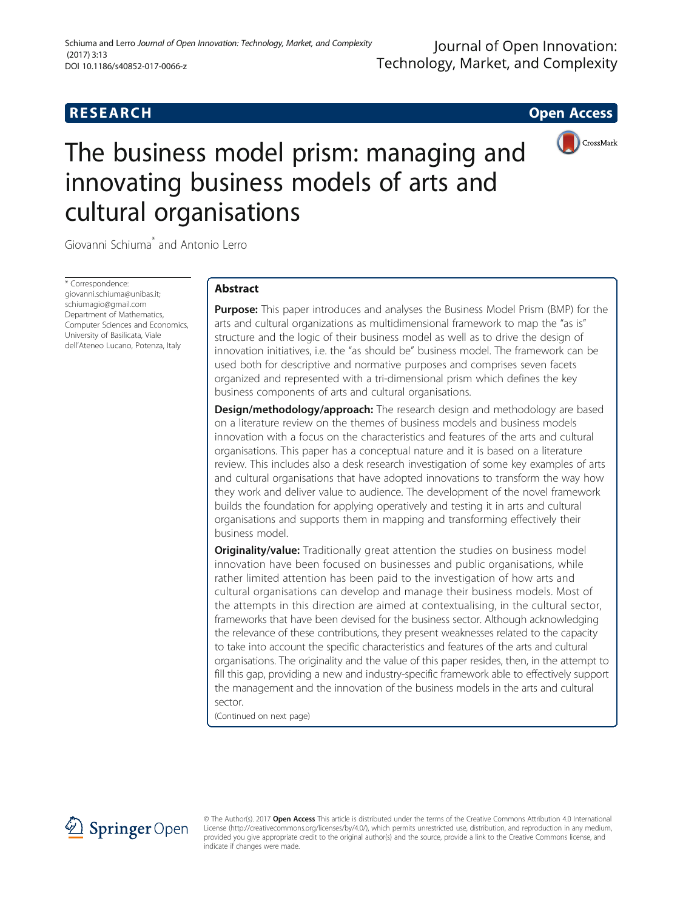## **RESEARCH CHE Open Access**



# The business model prism: managing and innovating business models of arts and cultural organisations

Giovanni Schiuma\* and Antonio Lerro

\* Correspondence: [giovanni.schiuma@unibas.it;](mailto:giovanni.schiuma@unibas.it) [schiumagio@gmail.com](mailto:schiumagio@gmail.com) Department of Mathematics, Computer Sciences and Economics, University of Basilicata, Viale dell'Ateneo Lucano, Potenza, Italy

### Abstract

Purpose: This paper introduces and analyses the Business Model Prism (BMP) for the arts and cultural organizations as multidimensional framework to map the "as is" structure and the logic of their business model as well as to drive the design of innovation initiatives, i.e. the "as should be" business model. The framework can be used both for descriptive and normative purposes and comprises seven facets organized and represented with a tri-dimensional prism which defines the key business components of arts and cultural organisations.

**Design/methodology/approach:** The research design and methodology are based on a literature review on the themes of business models and business models innovation with a focus on the characteristics and features of the arts and cultural organisations. This paper has a conceptual nature and it is based on a literature review. This includes also a desk research investigation of some key examples of arts and cultural organisations that have adopted innovations to transform the way how they work and deliver value to audience. The development of the novel framework builds the foundation for applying operatively and testing it in arts and cultural organisations and supports them in mapping and transforming effectively their business model.

**Originality/value:** Traditionally great attention the studies on business model innovation have been focused on businesses and public organisations, while rather limited attention has been paid to the investigation of how arts and cultural organisations can develop and manage their business models. Most of the attempts in this direction are aimed at contextualising, in the cultural sector, frameworks that have been devised for the business sector. Although acknowledging the relevance of these contributions, they present weaknesses related to the capacity to take into account the specific characteristics and features of the arts and cultural organisations. The originality and the value of this paper resides, then, in the attempt to fill this gap, providing a new and industry-specific framework able to effectively support the management and the innovation of the business models in the arts and cultural sector.

(Continued on next page)



© The Author(s). 2017 Open Access This article is distributed under the terms of the Creative Commons Attribution 4.0 International License [\(http://creativecommons.org/licenses/by/4.0/](http://creativecommons.org/licenses/by/4.0/)), which permits unrestricted use, distribution, and reproduction in any medium, provided you give appropriate credit to the original author(s) and the source, provide a link to the Creative Commons license, and indicate if changes were made.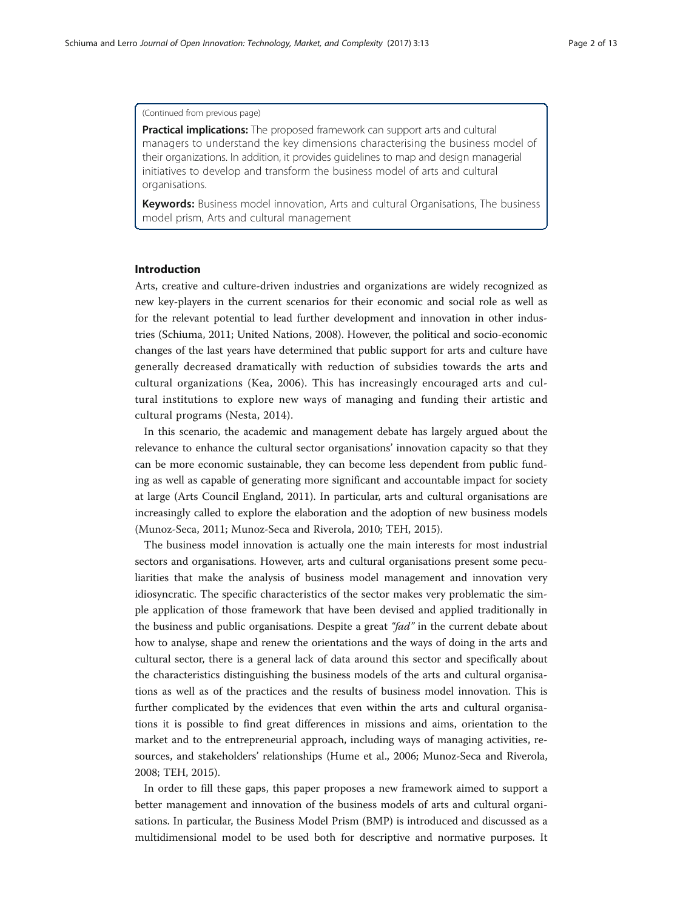#### (Continued from previous page)

Practical implications: The proposed framework can support arts and cultural managers to understand the key dimensions characterising the business model of their organizations. In addition, it provides guidelines to map and design managerial initiatives to develop and transform the business model of arts and cultural organisations.

Keywords: Business model innovation, Arts and cultural Organisations, The business model prism, Arts and cultural management

#### Introduction

Arts, creative and culture-driven industries and organizations are widely recognized as new key-players in the current scenarios for their economic and social role as well as for the relevant potential to lead further development and innovation in other industries (Schiuma, [2011;](#page-11-0) United Nations, [2008\)](#page-12-0). However, the political and socio-economic changes of the last years have determined that public support for arts and culture have generally decreased dramatically with reduction of subsidies towards the arts and cultural organizations (Kea, [2006](#page-11-0)). This has increasingly encouraged arts and cultural institutions to explore new ways of managing and funding their artistic and cultural programs (Nesta, [2014](#page-11-0)).

In this scenario, the academic and management debate has largely argued about the relevance to enhance the cultural sector organisations' innovation capacity so that they can be more economic sustainable, they can become less dependent from public funding as well as capable of generating more significant and accountable impact for society at large (Arts Council England, [2011](#page-10-0)). In particular, arts and cultural organisations are increasingly called to explore the elaboration and the adoption of new business models (Munoz-Seca, [2011;](#page-11-0) Munoz-Seca and Riverola, [2010;](#page-11-0) TEH, [2015\)](#page-11-0).

The business model innovation is actually one the main interests for most industrial sectors and organisations. However, arts and cultural organisations present some peculiarities that make the analysis of business model management and innovation very idiosyncratic. The specific characteristics of the sector makes very problematic the simple application of those framework that have been devised and applied traditionally in the business and public organisations. Despite a great "fad" in the current debate about how to analyse, shape and renew the orientations and the ways of doing in the arts and cultural sector, there is a general lack of data around this sector and specifically about the characteristics distinguishing the business models of the arts and cultural organisations as well as of the practices and the results of business model innovation. This is further complicated by the evidences that even within the arts and cultural organisations it is possible to find great differences in missions and aims, orientation to the market and to the entrepreneurial approach, including ways of managing activities, resources, and stakeholders' relationships (Hume et al., [2006;](#page-11-0) Munoz-Seca and Riverola, [2008](#page-11-0); TEH, [2015\)](#page-11-0).

In order to fill these gaps, this paper proposes a new framework aimed to support a better management and innovation of the business models of arts and cultural organisations. In particular, the Business Model Prism (BMP) is introduced and discussed as a multidimensional model to be used both for descriptive and normative purposes. It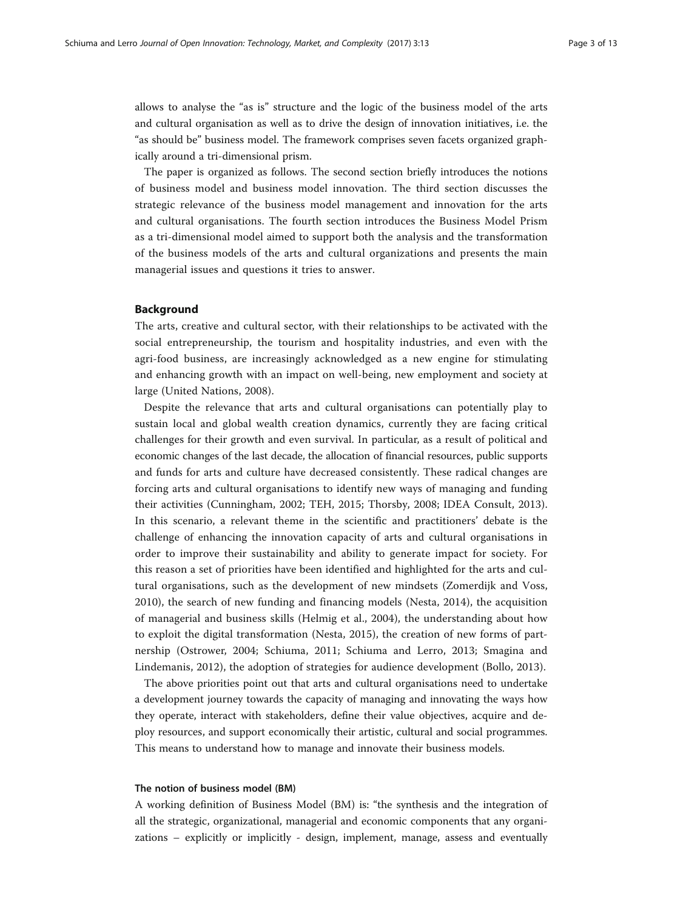allows to analyse the "as is" structure and the logic of the business model of the arts and cultural organisation as well as to drive the design of innovation initiatives, i.e. the "as should be" business model. The framework comprises seven facets organized graphically around a tri-dimensional prism.

The paper is organized as follows. The second section briefly introduces the notions of business model and business model innovation. The third section discusses the strategic relevance of the business model management and innovation for the arts and cultural organisations. The fourth section introduces the Business Model Prism as a tri-dimensional model aimed to support both the analysis and the transformation of the business models of the arts and cultural organizations and presents the main managerial issues and questions it tries to answer.

#### **Background**

The arts, creative and cultural sector, with their relationships to be activated with the social entrepreneurship, the tourism and hospitality industries, and even with the agri-food business, are increasingly acknowledged as a new engine for stimulating and enhancing growth with an impact on well-being, new employment and society at large (United Nations, [2008\)](#page-12-0).

Despite the relevance that arts and cultural organisations can potentially play to sustain local and global wealth creation dynamics, currently they are facing critical challenges for their growth and even survival. In particular, as a result of political and economic changes of the last decade, the allocation of financial resources, public supports and funds for arts and culture have decreased consistently. These radical changes are forcing arts and cultural organisations to identify new ways of managing and funding their activities (Cunningham, [2002;](#page-11-0) TEH, [2015](#page-11-0); Thorsby, [2008](#page-12-0); IDEA Consult, [2013](#page-11-0)). In this scenario, a relevant theme in the scientific and practitioners' debate is the challenge of enhancing the innovation capacity of arts and cultural organisations in order to improve their sustainability and ability to generate impact for society. For this reason a set of priorities have been identified and highlighted for the arts and cultural organisations, such as the development of new mindsets (Zomerdijk and Voss, [2010\)](#page-12-0), the search of new funding and financing models (Nesta, [2014\)](#page-11-0), the acquisition of managerial and business skills (Helmig et al., [2004\)](#page-11-0), the understanding about how to exploit the digital transformation (Nesta, [2015\)](#page-11-0), the creation of new forms of partnership (Ostrower, [2004](#page-11-0); Schiuma, [2011](#page-11-0); Schiuma and Lerro, [2013](#page-11-0); Smagina and Lindemanis, [2012\)](#page-11-0), the adoption of strategies for audience development (Bollo, [2013\)](#page-10-0).

The above priorities point out that arts and cultural organisations need to undertake a development journey towards the capacity of managing and innovating the ways how they operate, interact with stakeholders, define their value objectives, acquire and deploy resources, and support economically their artistic, cultural and social programmes. This means to understand how to manage and innovate their business models.

#### The notion of business model (BM)

A working definition of Business Model (BM) is: "the synthesis and the integration of all the strategic, organizational, managerial and economic components that any organizations – explicitly or implicitly - design, implement, manage, assess and eventually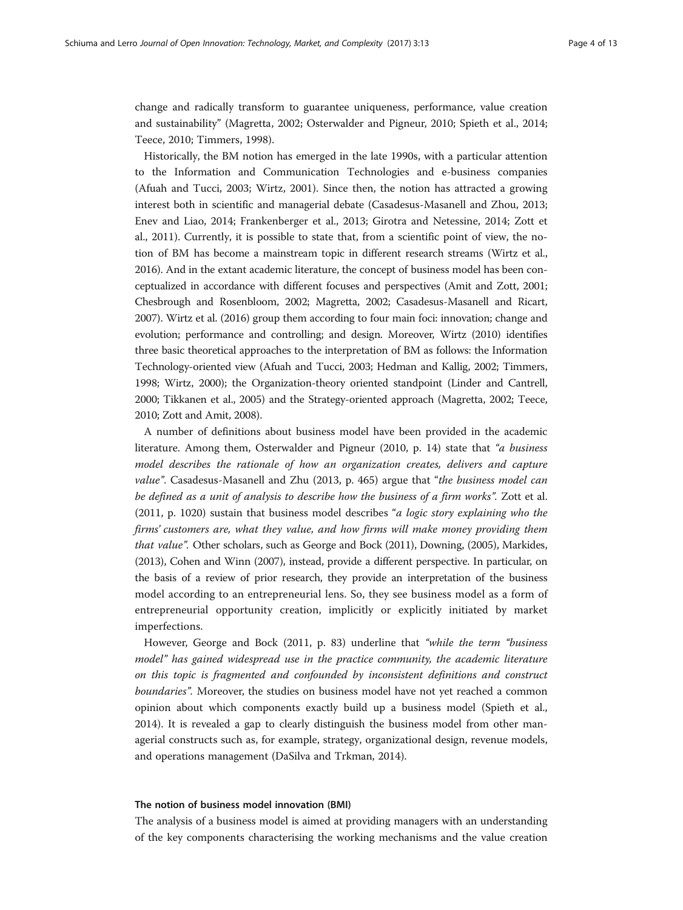change and radically transform to guarantee uniqueness, performance, value creation and sustainability" (Magretta, [2002;](#page-11-0) Osterwalder and Pigneur, [2010](#page-11-0); Spieth et al., [2014](#page-11-0); Teece, [2010;](#page-11-0) Timmers, [1998\)](#page-12-0).

Historically, the BM notion has emerged in the late 1990s, with a particular attention to the Information and Communication Technologies and e-business companies (Afuah and Tucci, [2003](#page-10-0); Wirtz, [2001\)](#page-12-0). Since then, the notion has attracted a growing interest both in scientific and managerial debate (Casadesus-Masanell and Zhou, [2013](#page-10-0); Enev and Liao, [2014;](#page-11-0) Frankenberger et al., [2013;](#page-11-0) Girotra and Netessine, [2014;](#page-11-0) Zott et al., [2011\)](#page-12-0). Currently, it is possible to state that, from a scientific point of view, the notion of BM has become a mainstream topic in different research streams (Wirtz et al., [2016\)](#page-12-0). And in the extant academic literature, the concept of business model has been conceptualized in accordance with different focuses and perspectives (Amit and Zott, [2001](#page-10-0); Chesbrough and Rosenbloom, [2002;](#page-10-0) Magretta, [2002](#page-11-0); Casadesus-Masanell and Ricart, [2007\)](#page-10-0). Wirtz et al. [\(2016\)](#page-12-0) group them according to four main foci: innovation; change and evolution; performance and controlling; and design. Moreover, Wirtz ([2010\)](#page-12-0) identifies three basic theoretical approaches to the interpretation of BM as follows: the Information Technology-oriented view (Afuah and Tucci, [2003](#page-10-0); Hedman and Kallig, [2002](#page-11-0); Timmers, [1998;](#page-12-0) Wirtz, [2000\)](#page-12-0); the Organization-theory oriented standpoint (Linder and Cantrell, [2000;](#page-11-0) Tikkanen et al., [2005](#page-12-0)) and the Strategy-oriented approach (Magretta, [2002](#page-11-0); Teece, [2010;](#page-11-0) Zott and Amit, [2008](#page-12-0)).

A number of definitions about business model have been provided in the academic literature. Among them, Osterwalder and Pigneur [\(2010](#page-11-0), p. 14) state that "a business model describes the rationale of how an organization creates, delivers and capture value". Casadesus-Masanell and Zhu [\(2013,](#page-10-0) p. 465) argue that "the business model can be defined as a unit of analysis to describe how the business of a firm works". Zott et al. ([2011](#page-12-0), p. 1020) sustain that business model describes "a logic story explaining who the firms' customers are, what they value, and how firms will make money providing them that value". Other scholars, such as George and Bock [\(2011](#page-11-0)), Downing, ([2005](#page-11-0)), Markides, ([2013\)](#page-11-0), Cohen and Winn ([2007\)](#page-11-0), instead, provide a different perspective. In particular, on the basis of a review of prior research, they provide an interpretation of the business model according to an entrepreneurial lens. So, they see business model as a form of entrepreneurial opportunity creation, implicitly or explicitly initiated by market imperfections.

However, George and Bock [\(2011,](#page-11-0) p. 83) underline that "while the term "business model" has gained widespread use in the practice community, the academic literature on this topic is fragmented and confounded by inconsistent definitions and construct boundaries". Moreover, the studies on business model have not yet reached a common opinion about which components exactly build up a business model (Spieth et al., [2014](#page-11-0)). It is revealed a gap to clearly distinguish the business model from other managerial constructs such as, for example, strategy, organizational design, revenue models, and operations management (DaSilva and Trkman, [2014\)](#page-11-0).

#### The notion of business model innovation (BMI)

The analysis of a business model is aimed at providing managers with an understanding of the key components characterising the working mechanisms and the value creation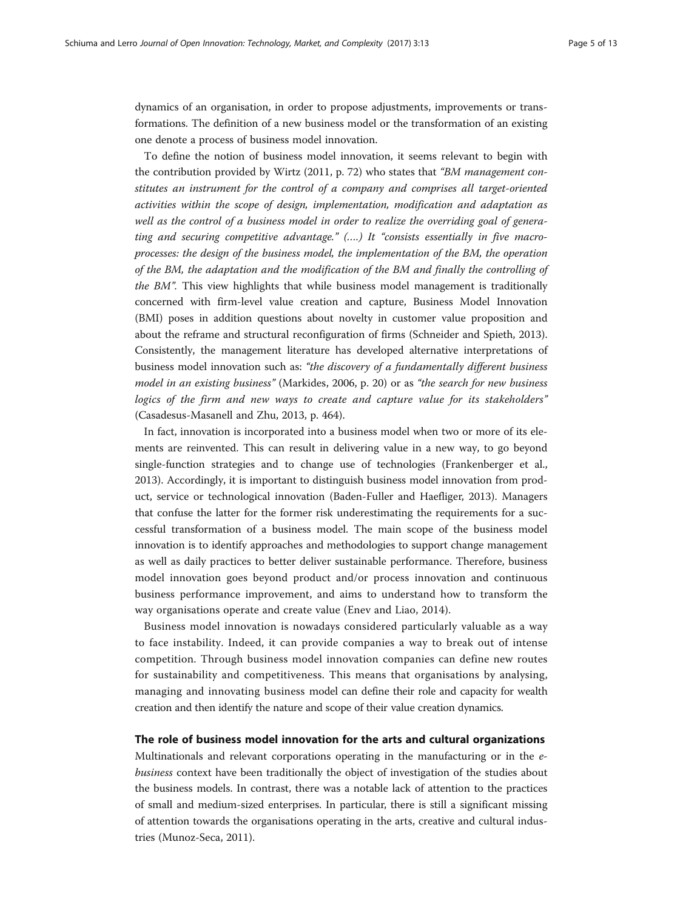dynamics of an organisation, in order to propose adjustments, improvements or transformations. The definition of a new business model or the transformation of an existing one denote a process of business model innovation.

To define the notion of business model innovation, it seems relevant to begin with the contribution provided by Wirtz [\(2011,](#page-12-0) p. 72) who states that "BM management constitutes an instrument for the control of a company and comprises all target-oriented activities within the scope of design, implementation, modification and adaptation as well as the control of a business model in order to realize the overriding goal of generating and securing competitive advantage." (….) It "consists essentially in five macroprocesses: the design of the business model, the implementation of the BM, the operation of the BM, the adaptation and the modification of the BM and finally the controlling of the BM". This view highlights that while business model management is traditionally concerned with firm-level value creation and capture, Business Model Innovation (BMI) poses in addition questions about novelty in customer value proposition and about the reframe and structural reconfiguration of firms (Schneider and Spieth, [2013](#page-11-0)). Consistently, the management literature has developed alternative interpretations of business model innovation such as: "the discovery of a fundamentally different business model in an existing business" (Markides, [2006](#page-11-0), p. 20) or as "the search for new business logics of the firm and new ways to create and capture value for its stakeholders" (Casadesus-Masanell and Zhu, [2013,](#page-10-0) p. 464).

In fact, innovation is incorporated into a business model when two or more of its elements are reinvented. This can result in delivering value in a new way, to go beyond single-function strategies and to change use of technologies (Frankenberger et al., [2013](#page-11-0)). Accordingly, it is important to distinguish business model innovation from product, service or technological innovation (Baden-Fuller and Haefliger, [2013](#page-10-0)). Managers that confuse the latter for the former risk underestimating the requirements for a successful transformation of a business model. The main scope of the business model innovation is to identify approaches and methodologies to support change management as well as daily practices to better deliver sustainable performance. Therefore, business model innovation goes beyond product and/or process innovation and continuous business performance improvement, and aims to understand how to transform the way organisations operate and create value (Enev and Liao, [2014\)](#page-11-0).

Business model innovation is nowadays considered particularly valuable as a way to face instability. Indeed, it can provide companies a way to break out of intense competition. Through business model innovation companies can define new routes for sustainability and competitiveness. This means that organisations by analysing, managing and innovating business model can define their role and capacity for wealth creation and then identify the nature and scope of their value creation dynamics.

#### The role of business model innovation for the arts and cultural organizations

Multinationals and relevant corporations operating in the manufacturing or in the ebusiness context have been traditionally the object of investigation of the studies about the business models. In contrast, there was a notable lack of attention to the practices of small and medium-sized enterprises. In particular, there is still a significant missing of attention towards the organisations operating in the arts, creative and cultural industries (Munoz-Seca, [2011](#page-11-0)).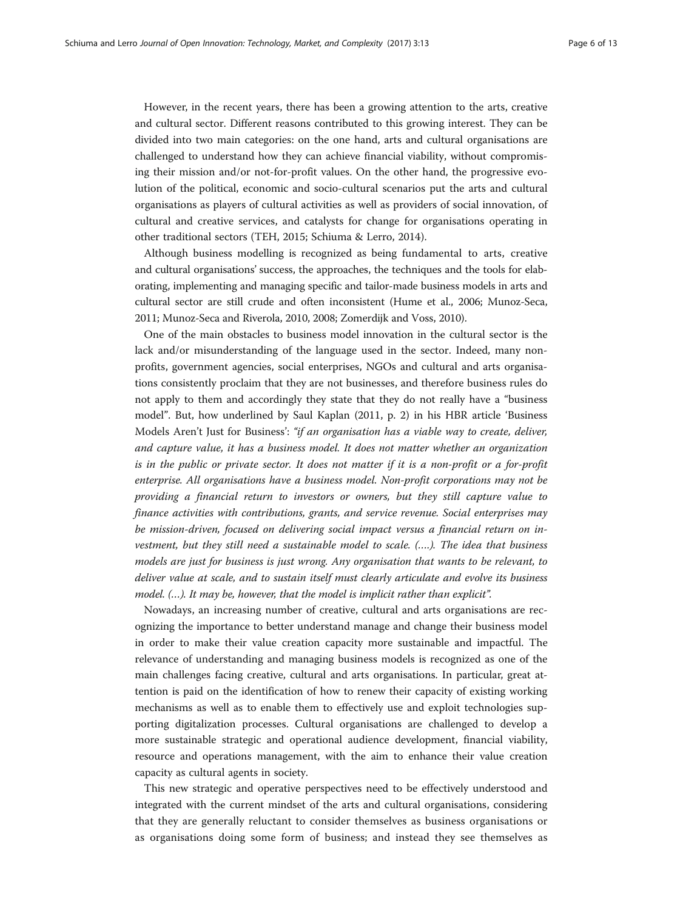However, in the recent years, there has been a growing attention to the arts, creative and cultural sector. Different reasons contributed to this growing interest. They can be divided into two main categories: on the one hand, arts and cultural organisations are challenged to understand how they can achieve financial viability, without compromising their mission and/or not-for-profit values. On the other hand, the progressive evolution of the political, economic and socio-cultural scenarios put the arts and cultural organisations as players of cultural activities as well as providers of social innovation, of cultural and creative services, and catalysts for change for organisations operating in other traditional sectors (TEH, [2015](#page-11-0); Schiuma & Lerro, [2014\)](#page-11-0).

Although business modelling is recognized as being fundamental to arts, creative and cultural organisations' success, the approaches, the techniques and the tools for elaborating, implementing and managing specific and tailor-made business models in arts and cultural sector are still crude and often inconsistent (Hume et al., [2006;](#page-11-0) Munoz-Seca, [2011;](#page-11-0) Munoz-Seca and Riverola, [2010](#page-11-0), [2008](#page-11-0); Zomerdijk and Voss, [2010](#page-12-0)).

One of the main obstacles to business model innovation in the cultural sector is the lack and/or misunderstanding of the language used in the sector. Indeed, many nonprofits, government agencies, social enterprises, NGOs and cultural and arts organisations consistently proclaim that they are not businesses, and therefore business rules do not apply to them and accordingly they state that they do not really have a "business model". But, how underlined by Saul Kaplan [\(2011,](#page-11-0) p. 2) in his HBR article 'Business Models Aren't Just for Business': "if an organisation has a viable way to create, deliver, and capture value, it has a business model. It does not matter whether an organization is in the public or private sector. It does not matter if it is a non-profit or a for-profit enterprise. All organisations have a business model. Non-profit corporations may not be providing a financial return to investors or owners, but they still capture value to finance activities with contributions, grants, and service revenue. Social enterprises may be mission-driven, focused on delivering social impact versus a financial return on investment, but they still need a sustainable model to scale. (….). The idea that business models are just for business is just wrong. Any organisation that wants to be relevant, to deliver value at scale, and to sustain itself must clearly articulate and evolve its business model. (...). It may be, however, that the model is implicit rather than explicit".

Nowadays, an increasing number of creative, cultural and arts organisations are recognizing the importance to better understand manage and change their business model in order to make their value creation capacity more sustainable and impactful. The relevance of understanding and managing business models is recognized as one of the main challenges facing creative, cultural and arts organisations. In particular, great attention is paid on the identification of how to renew their capacity of existing working mechanisms as well as to enable them to effectively use and exploit technologies supporting digitalization processes. Cultural organisations are challenged to develop a more sustainable strategic and operational audience development, financial viability, resource and operations management, with the aim to enhance their value creation capacity as cultural agents in society.

This new strategic and operative perspectives need to be effectively understood and integrated with the current mindset of the arts and cultural organisations, considering that they are generally reluctant to consider themselves as business organisations or as organisations doing some form of business; and instead they see themselves as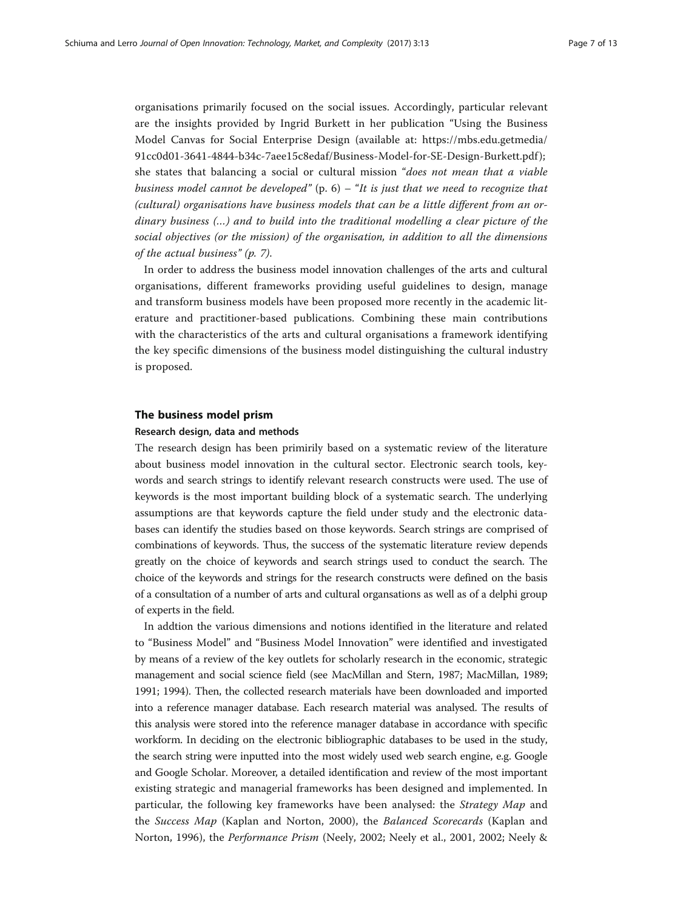organisations primarily focused on the social issues. Accordingly, particular relevant are the insights provided by Ingrid Burkett in her publication "Using the Business Model Canvas for Social Enterprise Design (available at: [https://mbs.edu.getmedia/](https://mbs.edu.getmedia/91cc0d01-3641-4844-b34c-7aee15c8edaf/Business-Model-for-SE-Design-Burkett.pdf) [91cc0d01-3641-4844-b34c-7aee15c8edaf/Business-Model-for-SE-Design-Burkett.pdf](https://mbs.edu.getmedia/91cc0d01-3641-4844-b34c-7aee15c8edaf/Business-Model-for-SE-Design-Burkett.pdf) ); she states that balancing a social or cultural mission "does not mean that a viable business model cannot be developed"  $(p, 6) -$ "It is just that we need to recognize that (cultural) organisations have business models that can be a little different from an ordinary business (…) and to build into the traditional modelling a clear picture of the social objectives (or the mission) of the organisation, in addition to all the dimensions of the actual business" (p. 7).

In order to address the business model innovation challenges of the arts and cultural organisations, different frameworks providing useful guidelines to design, manage and transform business models have been proposed more recently in the academic literature and practitioner-based publications. Combining these main contributions with the characteristics of the arts and cultural organisations a framework identifying the key specific dimensions of the business model distinguishing the cultural industry is proposed.

#### The business model prism

#### Research design, data and methods

The research design has been primirily based on a systematic review of the literature about business model innovation in the cultural sector. Electronic search tools, keywords and search strings to identify relevant research constructs were used. The use of keywords is the most important building block of a systematic search. The underlying assumptions are that keywords capture the field under study and the electronic databases can identify the studies based on those keywords. Search strings are comprised of combinations of keywords. Thus, the success of the systematic literature review depends greatly on the choice of keywords and search strings used to conduct the search. The choice of the keywords and strings for the research constructs were defined on the basis of a consultation of a number of arts and cultural organsations as well as of a delphi group of experts in the field.

In addtion the various dimensions and notions identified in the literature and related to "Business Model" and "Business Model Innovation" were identified and investigated by means of a review of the key outlets for scholarly research in the economic, strategic management and social science field (see MacMillan and Stern, [1987](#page-11-0); MacMillan, [1989](#page-11-0); [1991; 1994](#page-11-0)). Then, the collected research materials have been downloaded and imported into a reference manager database. Each research material was analysed. The results of this analysis were stored into the reference manager database in accordance with specific workform. In deciding on the electronic bibliographic databases to be used in the study, the search string were inputted into the most widely used web search engine, e.g. Google and Google Scholar. Moreover, a detailed identification and review of the most important existing strategic and managerial frameworks has been designed and implemented. In particular, the following key frameworks have been analysed: the Strategy Map and the Success Map (Kaplan and Norton, [2000\)](#page-11-0), the Balanced Scorecards (Kaplan and Norton, [1996\)](#page-11-0), the Performance Prism (Neely, [2002;](#page-11-0) Neely et al., [2001](#page-11-0), [2002](#page-11-0); Neely &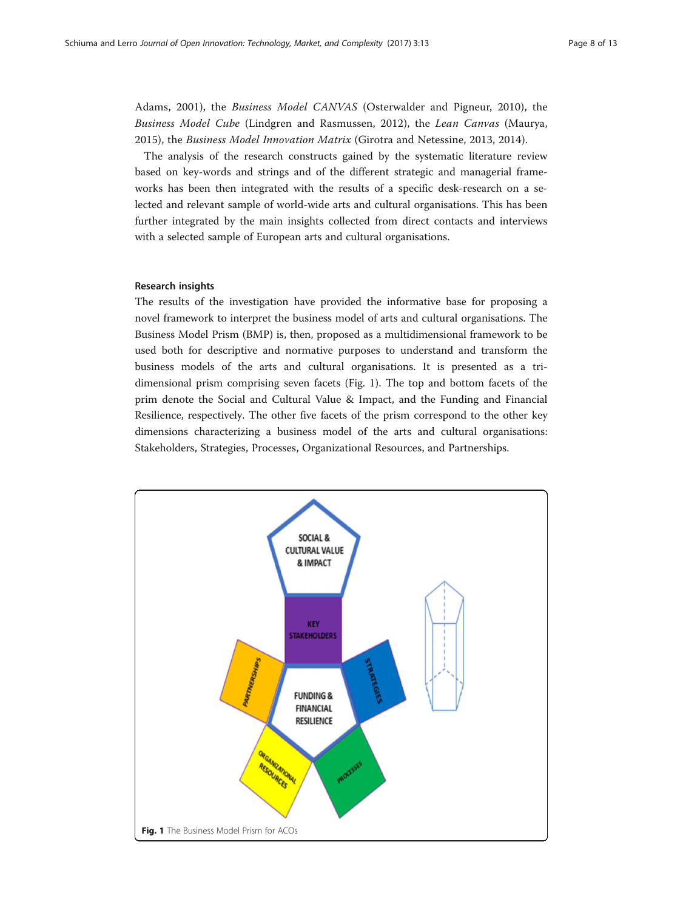Adams, [2001\)](#page-11-0), the Business Model CANVAS (Osterwalder and Pigneur, [2010](#page-11-0)), the Business Model Cube (Lindgren and Rasmussen, [2012](#page-11-0)), the Lean Canvas (Maurya, [2015\)](#page-11-0), the Business Model Innovation Matrix (Girotra and Netessine, [2013, 2014\)](#page-11-0).

The analysis of the research constructs gained by the systematic literature review based on key-words and strings and of the different strategic and managerial frameworks has been then integrated with the results of a specific desk-research on a selected and relevant sample of world-wide arts and cultural organisations. This has been further integrated by the main insights collected from direct contacts and interviews with a selected sample of European arts and cultural organisations.

#### Research insights

The results of the investigation have provided the informative base for proposing a novel framework to interpret the business model of arts and cultural organisations. The Business Model Prism (BMP) is, then, proposed as a multidimensional framework to be used both for descriptive and normative purposes to understand and transform the business models of the arts and cultural organisations. It is presented as a tridimensional prism comprising seven facets (Fig. 1). The top and bottom facets of the prim denote the Social and Cultural Value & Impact, and the Funding and Financial Resilience, respectively. The other five facets of the prism correspond to the other key dimensions characterizing a business model of the arts and cultural organisations: Stakeholders, Strategies, Processes, Organizational Resources, and Partnerships.

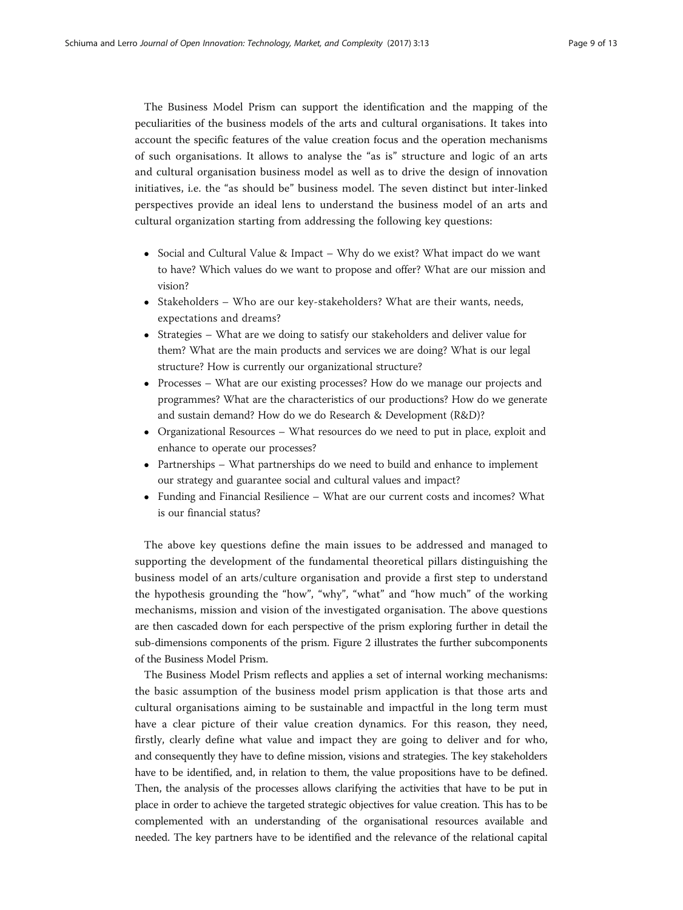The Business Model Prism can support the identification and the mapping of the peculiarities of the business models of the arts and cultural organisations. It takes into account the specific features of the value creation focus and the operation mechanisms of such organisations. It allows to analyse the "as is" structure and logic of an arts and cultural organisation business model as well as to drive the design of innovation initiatives, i.e. the "as should be" business model. The seven distinct but inter-linked perspectives provide an ideal lens to understand the business model of an arts and cultural organization starting from addressing the following key questions:

- Social and Cultural Value & Impact Why do we exist? What impact do we want to have? Which values do we want to propose and offer? What are our mission and vision?
- Stakeholders Who are our key-stakeholders? What are their wants, needs, expectations and dreams?
- Strategies What are we doing to satisfy our stakeholders and deliver value for them? What are the main products and services we are doing? What is our legal structure? How is currently our organizational structure?
- Processes What are our existing processes? How do we manage our projects and programmes? What are the characteristics of our productions? How do we generate and sustain demand? How do we do Research & Development (R&D)?
- Organizational Resources What resources do we need to put in place, exploit and enhance to operate our processes?
- Partnerships What partnerships do we need to build and enhance to implement our strategy and guarantee social and cultural values and impact?
- Funding and Financial Resilience What are our current costs and incomes? What is our financial status?

The above key questions define the main issues to be addressed and managed to supporting the development of the fundamental theoretical pillars distinguishing the business model of an arts/culture organisation and provide a first step to understand the hypothesis grounding the "how", "why", "what" and "how much" of the working mechanisms, mission and vision of the investigated organisation. The above questions are then cascaded down for each perspective of the prism exploring further in detail the sub-dimensions components of the prism. Figure [2](#page-9-0) illustrates the further subcomponents of the Business Model Prism.

The Business Model Prism reflects and applies a set of internal working mechanisms: the basic assumption of the business model prism application is that those arts and cultural organisations aiming to be sustainable and impactful in the long term must have a clear picture of their value creation dynamics. For this reason, they need, firstly, clearly define what value and impact they are going to deliver and for who, and consequently they have to define mission, visions and strategies. The key stakeholders have to be identified, and, in relation to them, the value propositions have to be defined. Then, the analysis of the processes allows clarifying the activities that have to be put in place in order to achieve the targeted strategic objectives for value creation. This has to be complemented with an understanding of the organisational resources available and needed. The key partners have to be identified and the relevance of the relational capital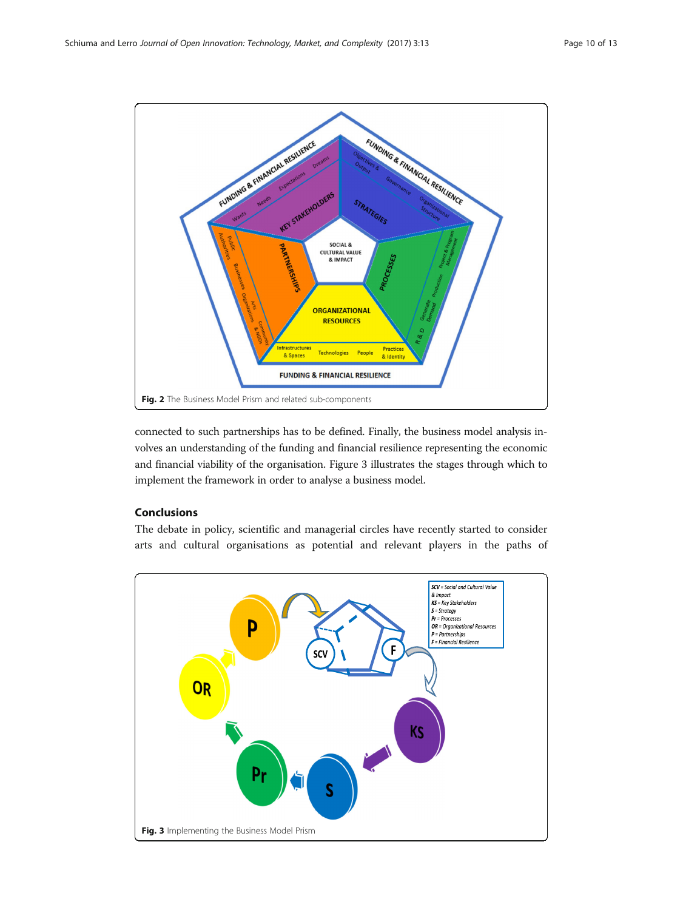<span id="page-9-0"></span>

connected to such partnerships has to be defined. Finally, the business model analysis involves an understanding of the funding and financial resilience representing the economic and financial viability of the organisation. Figure 3 illustrates the stages through which to implement the framework in order to analyse a business model.

#### Conclusions

The debate in policy, scientific and managerial circles have recently started to consider arts and cultural organisations as potential and relevant players in the paths of

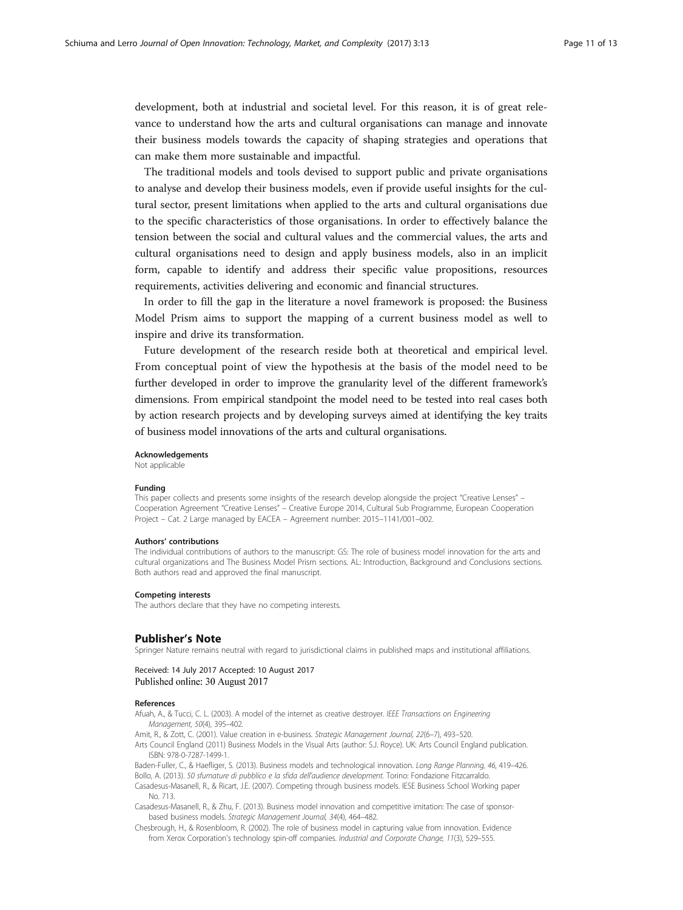<span id="page-10-0"></span>development, both at industrial and societal level. For this reason, it is of great relevance to understand how the arts and cultural organisations can manage and innovate their business models towards the capacity of shaping strategies and operations that can make them more sustainable and impactful.

The traditional models and tools devised to support public and private organisations to analyse and develop their business models, even if provide useful insights for the cultural sector, present limitations when applied to the arts and cultural organisations due to the specific characteristics of those organisations. In order to effectively balance the tension between the social and cultural values and the commercial values, the arts and cultural organisations need to design and apply business models, also in an implicit form, capable to identify and address their specific value propositions, resources requirements, activities delivering and economic and financial structures.

In order to fill the gap in the literature a novel framework is proposed: the Business Model Prism aims to support the mapping of a current business model as well to inspire and drive its transformation.

Future development of the research reside both at theoretical and empirical level. From conceptual point of view the hypothesis at the basis of the model need to be further developed in order to improve the granularity level of the different framework's dimensions. From empirical standpoint the model need to be tested into real cases both by action research projects and by developing surveys aimed at identifying the key traits of business model innovations of the arts and cultural organisations.

#### Acknowledgements

Not applicable

#### Funding

This paper collects and presents some insights of the research develop alongside the project "Creative Lenses" – Cooperation Agreement "Creative Lenses" – Creative Europe 2014, Cultural Sub Programme, European Cooperation Project – Cat. 2 Large managed by EACEA – Agreement number: 2015–1141/001–002.

#### Authors' contributions

The individual contributions of authors to the manuscript: GS: The role of business model innovation for the arts and cultural organizations and The Business Model Prism sections. AL: Introduction, Background and Conclusions sections. Both authors read and approved the final manuscript.

#### Competing interests

The authors declare that they have no competing interests.

#### Publisher's Note

Springer Nature remains neutral with regard to jurisdictional claims in published maps and institutional affiliations.

#### Received: 14 July 2017 Accepted: 10 August 2017 Published online: 30 August 2017

#### References

- Afuah, A., & Tucci, C. L. (2003). A model of the internet as creative destroyer. IEEE Transactions on Engineering Management, 50(4), 395–402.
- Amit, R., & Zott, C. (2001). Value creation in e-business. Strategic Management Journal, 22(6–7), 493–520.
- Arts Council England (2011) Business Models in the Visual Arts (author: S.J. Royce). UK: Arts Council England publication. ISBN: 978-0-7287-1499-1.

Baden-Fuller, C., & Haefliger, S. (2013). Business models and technological innovation. Long Range Planning, 46, 419–426. Bollo, A. (2013). 50 sfumature di pubblico e la sfida dell'audience development. Torino: Fondazione Fitzcarraldo. Casadesus-Masanell, R., & Ricart, J.E. (2007). Competing through business models. IESE Business School Working paper

- No. 713. Casadesus-Masanell, R., & Zhu, F. (2013). Business model innovation and competitive imitation: The case of sponsor-
- based business models. Strategic Management Journal, 34(4), 464–482.
- Chesbrough, H., & Rosenbloom, R. (2002). The role of business model in capturing value from innovation. Evidence from Xerox Corporation's technology spin-off companies. Industrial and Corporate Change, 11(3), 529–555.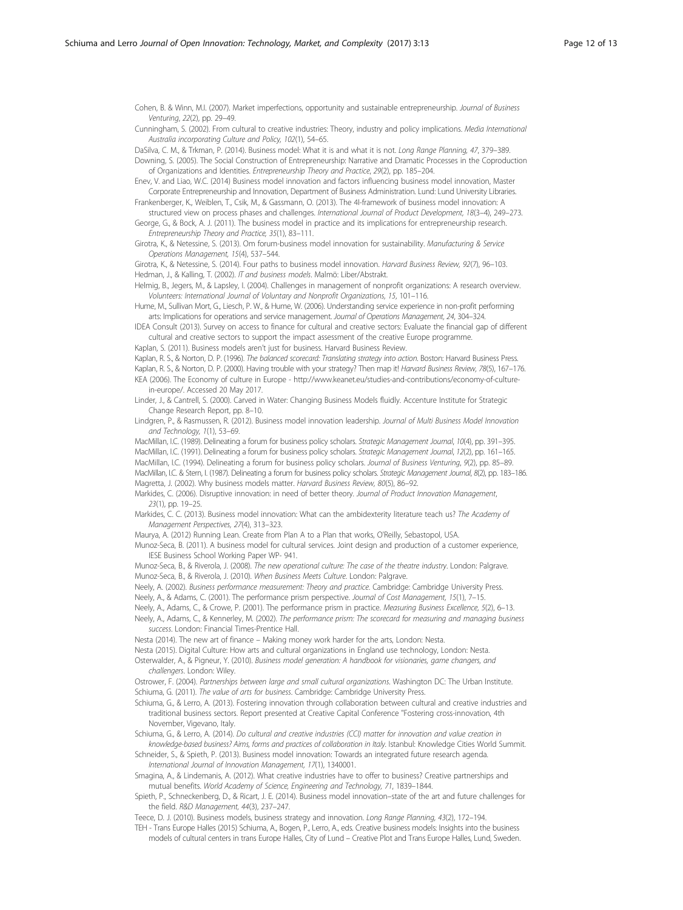<span id="page-11-0"></span>Cohen, B. & Winn, M.I. (2007). Market imperfections, opportunity and sustainable entrepreneurship. Journal of Business Venturing, 22(2), pp. 29–49.

Cunningham, S. (2002). From cultural to creative industries: Theory, industry and policy implications. Media International Australia incorporating Culture and Policy, 102(1), 54–65.

DaSilva, C. M., & Trkman, P. (2014). Business model: What it is and what it is not. Long Range Planning, 47, 379–389.

Downing, S. (2005). The Social Construction of Entrepreneurship: Narrative and Dramatic Processes in the Coproduction of Organizations and Identities. Entrepreneurship Theory and Practice, 29(2), pp. 185–204.

Enev, V. and Liao, W.C. (2014) Business model innovation and factors influencing business model innovation, Master Corporate Entrepreneurship and Innovation, Department of Business Administration. Lund: Lund University Libraries. Frankenberger, K., Weiblen, T., Csik, M., & Gassmann, O. (2013). The 4I-framework of business model innovation: A

structured view on process phases and challenges. International Journal of Product Development, 18(3–4), 249–273. George, G., & Bock, A. J. (2011). The business model in practice and its implications for entrepreneurship research.

Entrepreneurship Theory and Practice, 35(1), 83–111.

Girotra, K., & Netessine, S. (2013). Om forum-business model innovation for sustainability. Manufacturing & Service Operations Management, 15(4), 537–544.

Girotra, K., & Netessine, S. (2014). Four paths to business model innovation. Harvard Business Review, 92(7), 96–103. Hedman, J., & Kalling, T. (2002). IT and business models. Malmö: Liber/Abstrakt.

Helmig, B., Jegers, M., & Lapsley, I. (2004). Challenges in management of nonprofit organizations: A research overview. Volunteers: International Journal of Voluntary and Nonprofit Organizations, 15, 101–116.

Hume, M., Sullivan Mort, G., Liesch, P. W., & Hume, W. (2006). Understanding service experience in non-profit performing arts: Implications for operations and service management. Journal of Operations Management, 24, 304–324.

IDEA Consult (2013). Survey on access to finance for cultural and creative sectors: Evaluate the financial gap of different cultural and creative sectors to support the impact assessment of the creative Europe programme.

Kaplan, S. (2011). Business models aren't just for business. Harvard Business Review.

Kaplan, R. S., & Norton, D. P. (1996). The balanced scorecard: Translating strategy into action. Boston: Harvard Business Press. Kaplan, R. S., & Norton, D. P. (2000). Having trouble with your strategy? Then map it! Harvard Business Review, 78(5), 167-176. KEA (2006). The Economy of culture in Europe - [http://www.keanet.eu/studies-and-contributions/economy-of-culture](http://www.keanet.eu/studies-and-contributions/economy-of-culture-in-europe/)[in-europe/.](http://www.keanet.eu/studies-and-contributions/economy-of-culture-in-europe/) Accessed 20 May 2017.

Linder, J., & Cantrell, S. (2000). Carved in Water: Changing Business Models fluidly. Accenture Institute for Strategic Change Research Report, pp. 8–10.

Lindgren, P., & Rasmussen, R. (2012). Business model innovation leadership. Journal of Multi Business Model Innovation and Technology, 1(1), 53–69.

MacMillan, I.C. (1989). Delineating a forum for business policy scholars. Strategic Management Journal, 10(4), pp. 391–395. MacMillan, I.C. (1991). Delineating a forum for business policy scholars. Strategic Management Journal, 12(2), pp. 161–165. MacMillan, I.C. (1994). Delineating a forum for business policy scholars. Journal of Business Venturing, 9(2), pp. 85–89. MacMillan, I.C. & Stern, I. (1987). Delineating a forum for business policy scholars. Strategic Management Journal, 8(2), pp. 183–186. Magretta, J. (2002). Why business models matter. Harvard Business Review, 80(5), 86–92.

Markides, C. (2006). Disruptive innovation: in need of better theory. Journal of Product Innovation Management, 23(1), pp. 19–25.

Markides, C. C. (2013). Business model innovation: What can the ambidexterity literature teach us? The Academy of Management Perspectives, 27(4), 313–323.

Maurya, A. (2012) Running Lean. Create from Plan A to a Plan that works, O'Reilly, Sebastopol, USA.

Munoz-Seca, B. (2011). A business model for cultural services. Joint design and production of a customer experience, IESE Business School Working Paper WP- 941.

Munoz-Seca, B., & Riverola, J. (2008). The new operational culture: The case of the theatre industry. London: Palgrave. Munoz-Seca, B., & Riverola, J. (2010). When Business Meets Culture. London: Palgrave.

Neely, A. (2002). Business performance measurement: Theory and practice. Cambridge: Cambridge University Press.

Neely, A., & Adams, C. (2001). The performance prism perspective. Journal of Cost Management, 15(1), 7–15.

Neely, A., Adams, C., & Crowe, P. (2001). The performance prism in practice. Measuring Business Excellence, 5(2), 6–13.

Neely, A., Adams, C., & Kennerley, M. (2002). The performance prism: The scorecard for measuring and managing business success. London: Financial Times-Prentice Hall.

Nesta (2014). The new art of finance – Making money work harder for the arts, London: Nesta.

Nesta (2015). Digital Culture: How arts and cultural organizations in England use technology, London: Nesta. Osterwalder, A., & Pigneur, Y. (2010). Business model generation: A handbook for visionaries, game changers, and challengers. London: Wiley.

Ostrower, F. (2004). Partnerships between large and small cultural organizations. Washington DC: The Urban Institute. Schiuma, G. (2011). The value of arts for business. Cambridge: Cambridge University Press.

Schiuma, G., & Lerro, A. (2013). Fostering innovation through collaboration between cultural and creative industries and traditional business sectors. Report presented at Creative Capital Conference "Fostering cross-innovation, 4th November, Vigevano, Italy.

Schiuma, G., & Lerro, A. (2014). Do cultural and creative industries (CCI) matter for innovation and value creation in knowledge-based business? Aims, forms and practices of collaboration in Italy. Istanbul: Knowledge Cities World Summit.

Schneider, S., & Spieth, P. (2013). Business model innovation: Towards an integrated future research agenda. International Journal of Innovation Management, 17(1), 1340001.

Smagina, A., & Lindemanis, A. (2012). What creative industries have to offer to business? Creative partnerships and mutual benefits. World Academy of Science, Engineering and Technology, 71, 1839–1844.

Spieth, P., Schneckenberg, D., & Ricart, J. E. (2014). Business model innovation–state of the art and future challenges for the field. R&D Management, 44(3), 237–247.

Teece, D. J. (2010). Business models, business strategy and innovation. Long Range Planning, 43(2), 172-194.

TEH - Trans Europe Halles (2015) Schiuma, A., Bogen, P., Lerro, A., eds. Creative business models: Insights into the business models of cultural centers in trans Europe Halles, City of Lund – Creative Plot and Trans Europe Halles, Lund, Sweden.